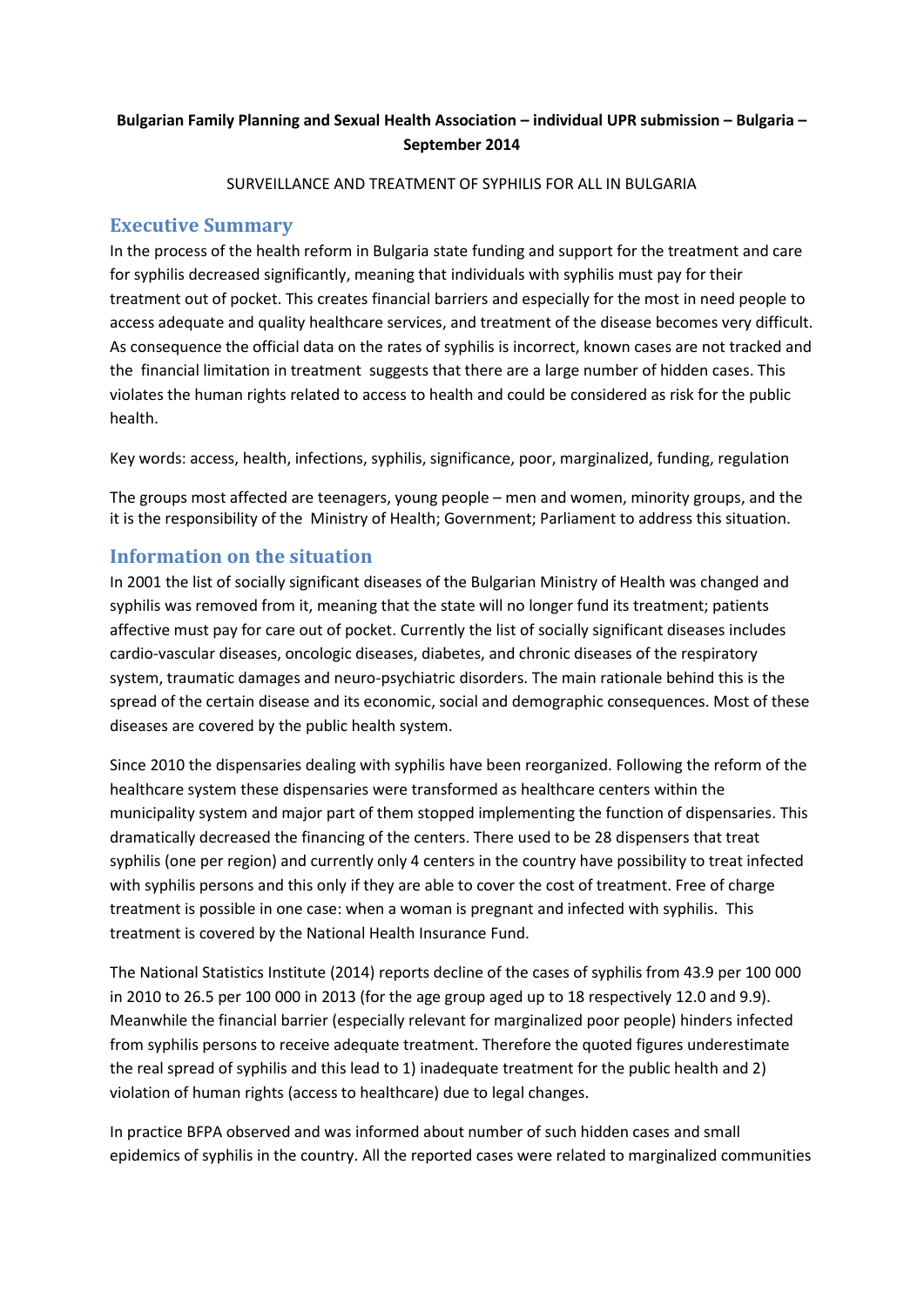## **Bulgarian Family Planning and Sexual Health Association – individual UPR submission – Bulgaria – September 2014**

#### SURVEILLANCE AND TREATMENT OF SYPHILIS FOR ALL IN BULGARIA

### **Executive Summary**

In the process of the health reform in Bulgaria state funding and support for the treatment and care for syphilis decreased significantly, meaning that individuals with syphilis must pay for their treatment out of pocket. This creates financial barriers and especially for the most in need people to access adequate and quality healthcare services, and treatment of the disease becomes very difficult. As consequence the official data on the rates of syphilis is incorrect, known cases are not tracked and the financial limitation in treatment suggests that there are a large number of hidden cases. This violates the human rights related to access to health and could be considered as risk for the public health.

Key words: access, health, infections, syphilis, significance, poor, marginalized, funding, regulation

The groups most affected are teenagers, young people – men and women, minority groups, and the it is the responsibility of the Ministry of Health; Government; Parliament to address this situation.

#### **Information on the situation**

In 2001 the list of socially significant diseases of the Bulgarian Ministry of Health was changed and syphilis was removed from it, meaning that the state will no longer fund its treatment; patients affective must pay for care out of pocket. Currently the list of socially significant diseases includes cardio-vascular diseases, oncologic diseases, diabetes, and chronic diseases of the respiratory system, traumatic damages and neuro-psychiatric disorders. The main rationale behind this is the spread of the certain disease and its economic, social and demographic consequences. Most of these diseases are covered by the public health system.

Since 2010 the dispensaries dealing with syphilis have been reorganized. Following the reform of the healthcare system these dispensaries were transformed as healthcare centers within the municipality system and major part of them stopped implementing the function of dispensaries. This dramatically decreased the financing of the centers. There used to be 28 dispensers that treat syphilis (one per region) and currently only 4 centers in the country have possibility to treat infected with syphilis persons and this only if they are able to cover the cost of treatment. Free of charge treatment is possible in one case: when a woman is pregnant and infected with syphilis. This treatment is covered by the National Health Insurance Fund.

The National Statistics Institute (2014) reports decline of the cases of syphilis from 43.9 per 100 000 in 2010 to 26.5 per 100 000 in 2013 (for the age group aged up to 18 respectively 12.0 and 9.9). Meanwhile the financial barrier (especially relevant for marginalized poor people) hinders infected from syphilis persons to receive adequate treatment. Therefore the quoted figures underestimate the real spread of syphilis and this lead to 1) inadequate treatment for the public health and 2) violation of human rights (access to healthcare) due to legal changes.

In practice BFPA observed and was informed about number of such hidden cases and small epidemics of syphilis in the country. All the reported cases were related to marginalized communities